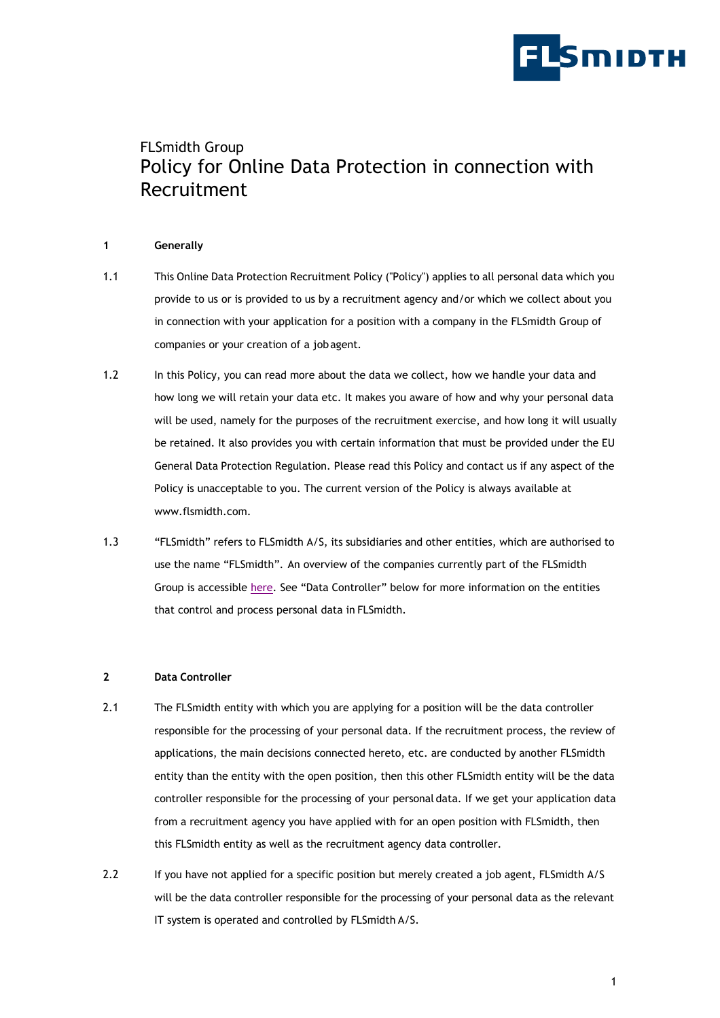

# FLSmidth Group Policy for Online Data Protection in connection with Recruitment

# **1 Generally**

- 1.1 This Online Data Protection Recruitment Policy ("Policy") applies to all personal data which you provide to us or is provided to us by a recruitment agency and/or which we collect about you in connection with your application for a position with a company in the FLSmidth Group of companies or your creation of a jobagent.
- 1.2 In this Policy, you can read more about the data we collect, how we handle your data and how long we will retain your data etc. It makes you aware of how and why your personal data will be used, namely for the purposes of the recruitment exercise, and how long it will usually be retained. It also provides you with certain information that must be provided under the EU General Data Protection Regulation. Please read this Policy and contact us if any aspect of the Policy is unacceptable to you. The current version of the Policy is always available at [www.flsmidth.com.](http://www.flsmidth.com/)
- 1.3 "FLSmidth" refers to FLSmidth A/S, its subsidiaries and other entities, which are authorised to use the name "FLSmidth". An overview of the companies currently part of the FLSmidth Group is accessible [here.](http://www.flsmidth.com/en-US/Contact/Global+addresses) See "Data Controller" below for more information on the entities that control and process personal data in FLSmidth.

### **2 Data Controller**

- 2.1 The FLSmidth entity with which you are applying for a position will be the data controller responsible for the processing of your personal data. If the recruitment process, the review of applications, the main decisions connected hereto, etc. are conducted by another FLSmidth entity than the entity with the open position, then this other FLSmidth entity will be the data controller responsible for the processing of your personal data. If we get your application data from a recruitment agency you have applied with for an open position with FLSmidth, then this FLSmidth entity as well as the recruitment agency data controller.
- 2.2 If you have not applied for a specific position but merely created a job agent, FLSmidth A/S will be the data controller responsible for the processing of your personal data as the relevant IT system is operated and controlled by FLSmidth A/S.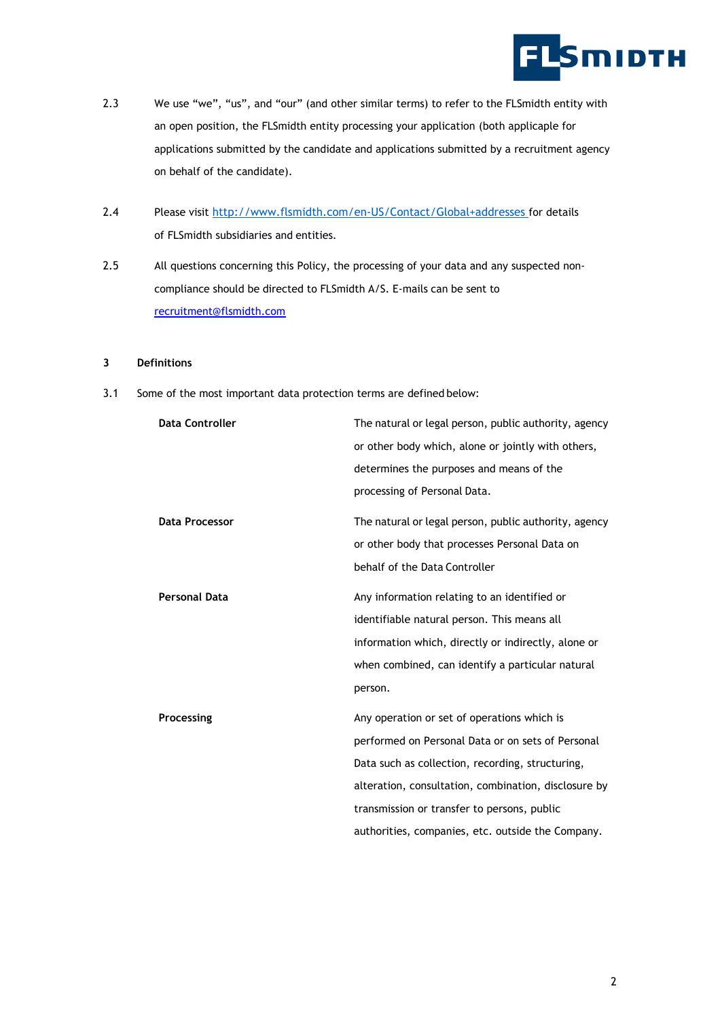

- 2.3 We use "we", "us", and "our" (and other similar terms) to refer to the FLSmidth entity with an open position, the FLSmidth entity processing your application (both applicaple for applications submitted by the candidate and applications submitted by a recruitment agency on behalf of the candidate).
- 2.4 Please visit [http://www.flsmidth.com/en-US/Contact/Global+addresses](http://www.flsmidth.com/en-US/Contact/Global%2Baddresses) for details of FLSmidth subsidiaries and entities.
- 2.5 All questions concerning this Policy, the processing of your data and any suspected noncompliance should be directed to FLSmidth A/S. E-mails can be sent to [recruitment@flsmidth.com](mailto:recruitment@flsmidth.com)

#### **3 Definitions**

3.1 Some of the most important data protection terms are defined below:

| <b>Data Controller</b> | The natural or legal person, public authority, agency |
|------------------------|-------------------------------------------------------|
|                        | or other body which, alone or jointly with others,    |
|                        | determines the purposes and means of the              |
|                        | processing of Personal Data.                          |
| Data Processor         | The natural or legal person, public authority, agency |
|                        | or other body that processes Personal Data on         |
|                        | behalf of the Data Controller                         |
| Personal Data          | Any information relating to an identified or          |
|                        | identifiable natural person. This means all           |
|                        | information which, directly or indirectly, alone or   |
|                        | when combined, can identify a particular natural      |
|                        | person.                                               |
| Processing             | Any operation or set of operations which is           |
|                        | performed on Personal Data or on sets of Personal     |
|                        | Data such as collection, recording, structuring,      |
|                        | alteration, consultation, combination, disclosure by  |
|                        | transmission or transfer to persons, public           |
|                        | authorities, companies, etc. outside the Company.     |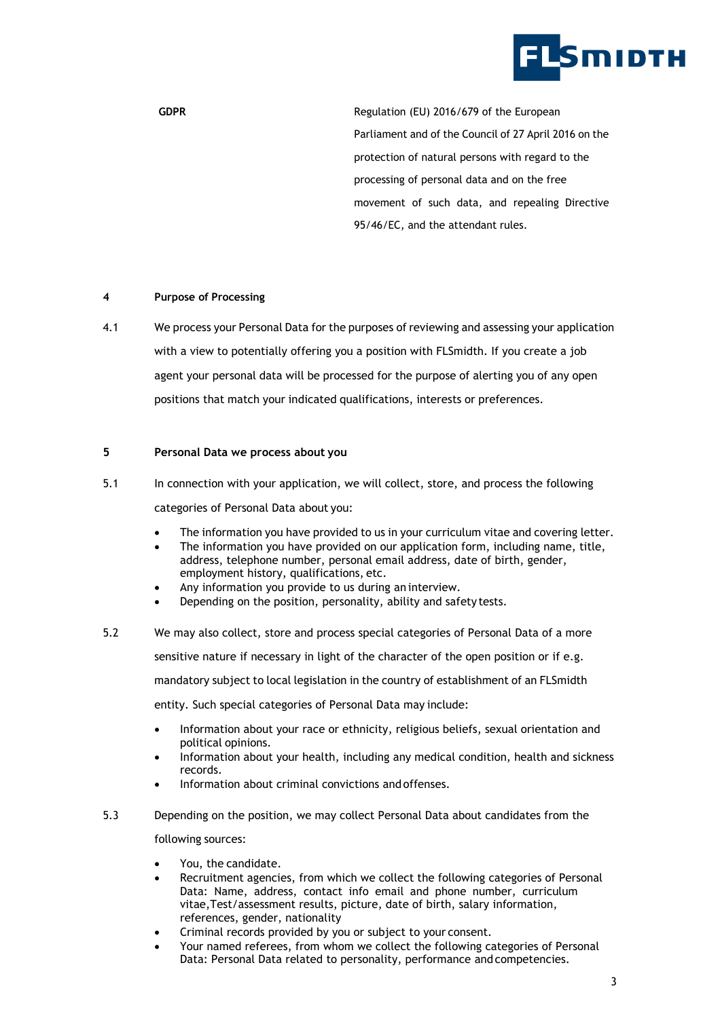

GDPR GDPR **GDPR Regulation (EU)** 2016/679 of the European Parliament and of the Council of 27 April 2016 on the protection of natural persons with regard to the processing of personal data and on the free movement of such data, and repealing Directive 95/46/EC, and the attendant rules.

### **4 Purpose of Processing**

4.1 We process your Personal Data for the purposes of reviewing and assessing your application with a view to potentially offering you a position with FLSmidth. If you create a job agent your personal data will be processed for the purpose of alerting you of any open positions that match your indicated qualifications, interests or preferences.

### **5 Personal Data we process about you**

5.1 In connection with your application, we will collect, store, and process the following

categories of Personal Data about you:

- The information you have provided to us in your curriculum vitae and covering letter.
- The information you have provided on our application form, including name, title, address, telephone number, personal email address, date of birth, gender, employment history, qualifications, etc.
- Any information you provide to us during an interview.
- Depending on the position, personality, ability and safety tests.
- 5.2 We may also collect, store and process special categories of Personal Data of a more sensitive nature if necessary in light of the character of the open position or if e.g. mandatory subject to local legislation in the country of establishment of an FLSmidth entity. Such special categories of Personal Data may include:
	- Information about your race or ethnicity, religious beliefs, sexual orientation and political opinions.
	- Information about your health, including any medical condition, health and sickness records.
	- Information about criminal convictions and offenses.
- 5.3 Depending on the position, we may collect Personal Data about candidates from the following sources:
	- You, the candidate.
	- Recruitment agencies, from which we collect the following categories of Personal Data: Name, address, contact info email and phone number, curriculum vitae,Test/assessment results, picture, date of birth, salary information, references, gender, nationality
	- Criminal records provided by you or subject to your consent.
	- Your named referees, from whom we collect the following categories of Personal Data: Personal Data related to personality, performance and competencies.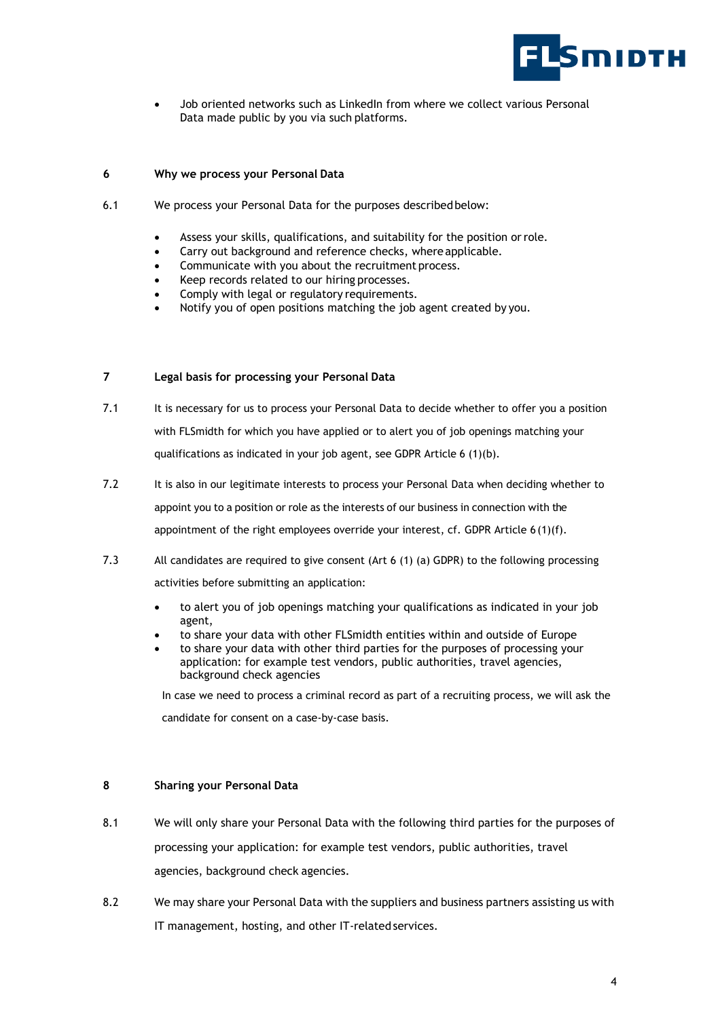

Job oriented networks such as LinkedIn from where we collect various Personal Data made public by you via such platforms.

# **6 Why we process your Personal Data**

- 6.1 We process your Personal Data for the purposes described below:
	- Assess your skills, qualifications, and suitability for the position or role.
	- Carry out background and reference checks, where applicable.
	- Communicate with you about the recruitment process.
	- Keep records related to our hiring processes.
	- Comply with legal or regulatory requirements.
	- Notify you of open positions matching the job agent created by you.

# **7 Legal basis for processing your Personal Data**

- 7.1 It is necessary for us to process your Personal Data to decide whether to offer you a position with FLSmidth for which you have applied or to alert you of job openings matching your qualifications as indicated in your job agent, see GDPR Article 6 (1)(b).
- 7.2 It is also in our legitimate interests to process your Personal Data when deciding whether to appoint you to a position or role as the interests of our business in connection with the appointment of the right employees override your interest, cf. GDPR Article 6 (1)(f).
- 7.3 All candidates are required to give consent (Art 6 (1) (a) GDPR) to the following processing activities before submitting an application:
	- to alert you of job openings matching your qualifications as indicated in your job agent,
	- to share your data with other FLSmidth entities within and outside of Europe
	- to share your data with other third parties for the purposes of processing your application: for example test vendors, public authorities, travel agencies, background check agencies

In case we need to process a criminal record as part of a recruiting process, we will ask the

candidate for consent on a case-by-case basis.

# **8 Sharing your Personal Data**

- 8.1 We will only share your Personal Data with the following third parties for the purposes of processing your application: for example test vendors, public authorities, travel agencies, background check agencies.
- 8.2 We may share your Personal Data with the suppliers and business partners assisting us with IT management, hosting, and other IT-related services.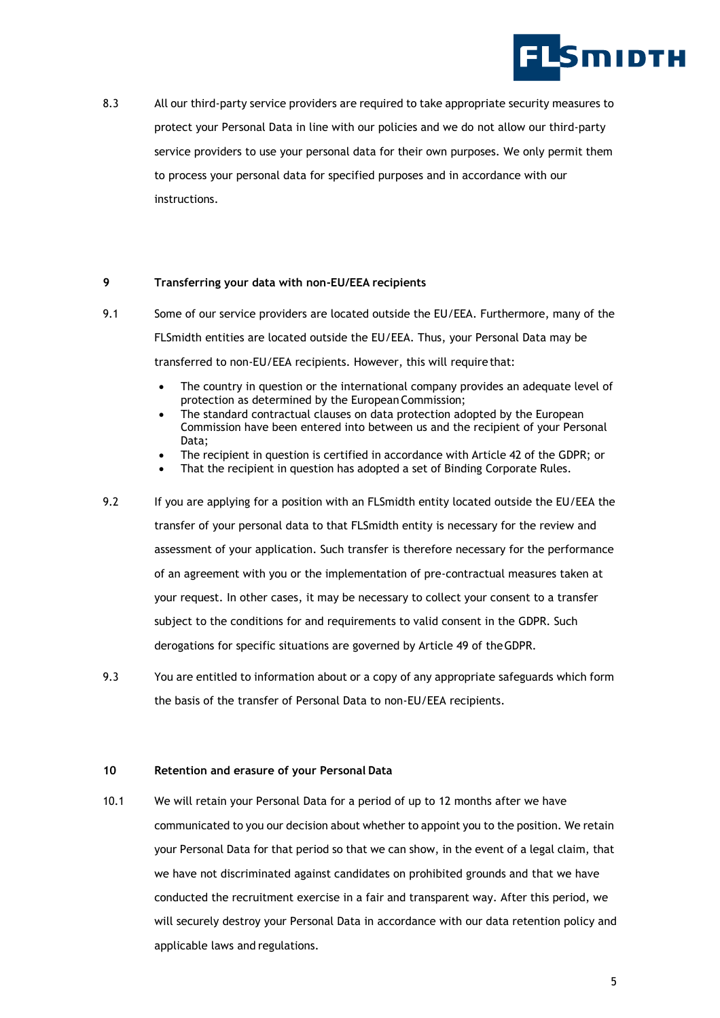

8.3 All our third-party service providers are required to take appropriate security measures to protect your Personal Data in line with our policies and we do not allow our third-party service providers to use your personal data for their own purposes. We only permit them to process your personal data for specified purposes and in accordance with our instructions.

# **9 Transferring your data with non-EU/EEA recipients**

- 9.1 Some of our service providers are located outside the EU/EEA. Furthermore, many of the FLSmidth entities are located outside the EU/EEA. Thus, your Personal Data may be transferred to non-EU/EEA recipients. However, this will requirethat:
	- The country in question or the international company provides an adequate level of protection as determined by the European Commission;
	- The standard contractual clauses on data protection adopted by the European Commission have been entered into between us and the recipient of your Personal Data;
	- The recipient in question is certified in accordance with Article 42 of the GDPR; or
	- That the recipient in question has adopted a set of Binding Corporate Rules.
- 9.2 If you are applying for a position with an FLSmidth entity located outside the EU/EEA the transfer of your personal data to that FLSmidth entity is necessary for the review and assessment of your application. Such transfer is therefore necessary for the performance of an agreement with you or the implementation of pre-contractual measures taken at your request. In other cases, it may be necessary to collect your consent to a transfer subject to the conditions for and requirements to valid consent in the GDPR. Such derogations for specific situations are governed by Article 49 of theGDPR.
- 9.3 You are entitled to information about or a copy of any appropriate safeguards which form the basis of the transfer of Personal Data to non-EU/EEA recipients.

#### **10 Retention and erasure of your Personal Data**

10.1 We will retain your Personal Data for a period of up to 12 months after we have communicated to you our decision about whether to appoint you to the position. We retain your Personal Data for that period so that we can show, in the event of a legal claim, that we have not discriminated against candidates on prohibited grounds and that we have conducted the recruitment exercise in a fair and transparent way. After this period, we will securely destroy your Personal Data in accordance with our data retention policy and applicable laws and regulations.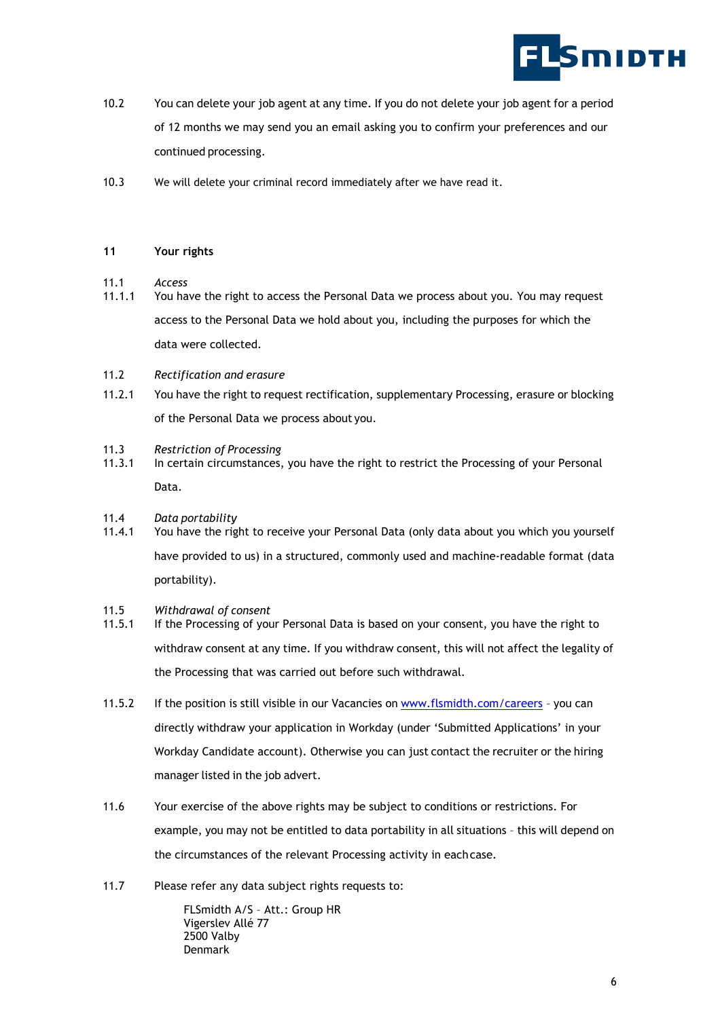

- 10.2 You can delete your job agent at any time. If you do not delete your job agent for a period of 12 months we may send you an email asking you to confirm your preferences and our continued processing.
- 10.3 We will delete your criminal record immediately after we have read it.

## **11 Your rights**

- 11.1 *Access*
- 11.1.1 You have the right to access the Personal Data we process about you. You may request access to the Personal Data we hold about you, including the purposes for which the data were collected.
- 11.2 *Rectification and erasure*
- 11.2.1 You have the right to request rectification, supplementary Processing, erasure or blocking of the Personal Data we process about you.
- 11.3 *Restriction of Processing*
- 11.3.1 In certain circumstances, you have the right to restrict the Processing of your Personal Data.
- 11.4 *Data portability*
- 11.4.1 You have the right to receive your Personal Data (only data about you which you yourself have provided to us) in a structured, commonly used and machine-readable format (data portability).
- 11.5 *Withdrawal of consent*
- 11.5.1 If the Processing of your Personal Data is based on your consent, you have the right to withdraw consent at any time. If you withdraw consent, this will not affect the legality of the Processing that was carried out before such withdrawal.
- 11.5.2 If the position is still visible in our Vacancies on [www.flsmidth.com/careers](https://www.flsmidth.com/en-gb/company/careers) you can directly withdraw your application in Workday (under 'Submitted Applications' in your Workday Candidate account). Otherwise you can just contact the recruiter or the hiring manager listed in the job advert.
- 11.6 Your exercise of the above rights may be subject to conditions or restrictions. For example, you may not be entitled to data portability in all situations – this will depend on the circumstances of the relevant Processing activity in eachcase.
- 11.7 Please refer any data subject rights requests to:

FLSmidth A/S – Att.: Group HR Vigerslev Allé 77 2500 Valby Denmark